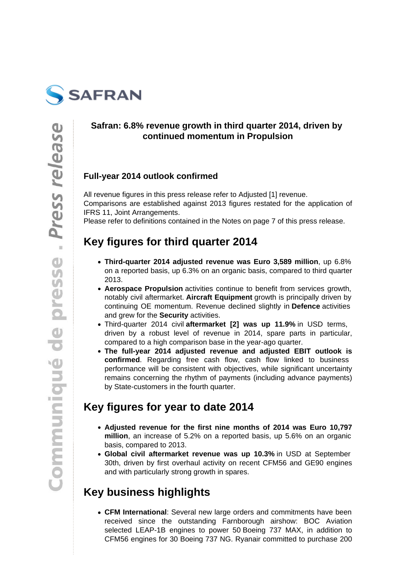

### **Safran: 6.8% revenue growth in third quarter 2014, driven by continued momentum in Propulsion**

### **Full-year 2014 outlook confirmed**

All revenue figures in this press release refer to Adjusted [1] revenue. Comparisons are established against 2013 figures restated for the application of IFRS 11, Joint Arrangements.

Please refer to definitions contained in the Notes on page 7 of this press release.

# **Key figures for third quarter 2014**

- **Third-quarter 2014 adjusted revenue was Euro 3,589 million**, up 6.8% on a reported basis, up 6.3% on an organic basis, compared to third quarter 2013.
- **Aerospace Propulsion** activities continue to benefit from services growth, notably civil aftermarket. **Aircraft Equipment** growth is principally driven by continuing OE momentum. Revenue declined slightly in **Defence** activities and grew for the **Security** activities.
- Third-quarter 2014 civil **aftermarket [2] was up 11.9%** in USD terms, driven by a robust level of revenue in 2014, spare parts in particular, compared to a high comparison base in the year-ago quarter.
- **The full-year 2014 adjusted revenue and adjusted EBIT outlook is confirmed**. Regarding free cash flow, cash flow linked to business performance will be consistent with objectives, while significant uncertainty remains concerning the rhythm of payments (including advance payments) by State-customers in the fourth quarter.

# **Key figures for year to date 2014**

- **Adjusted revenue for the first nine months of 2014 was Euro 10,797 million**, an increase of 5.2% on a reported basis, up 5.6% on an organic basis, compared to 2013.
- **Global civil aftermarket revenue was up 10.3%** in USD at September 30th, driven by first overhaul activity on recent CFM56 and GE90 engines and with particularly strong growth in spares.

# **Key business highlights**

**CFM International**: Several new large orders and commitments have been received since the outstanding Farnborough airshow: BOC Aviation selected LEAP-1B engines to power 50 Boeing 737 MAX, in addition to CFM56 engines for 30 Boeing 737 NG. Ryanair committed to purchase 200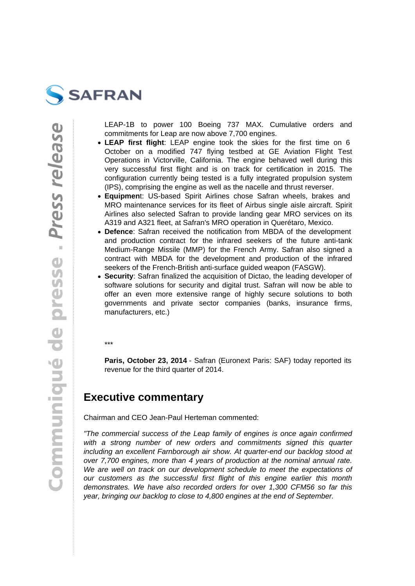

LEAP-1B to power 100 Boeing 737 MAX. Cumulative orders and commitments for Leap are now above 7,700 engines.

- **LEAP first flight**: LEAP engine took the skies for the first time on 6 October on a modified 747 flying testbed at GE Aviation Flight Test Operations in Victorville, California. The engine behaved well during this very successful first flight and is on track for certification in 2015. The configuration currently being tested is a fully integrated propulsion system (IPS), comprising the engine as well as the nacelle and thrust reverser.
- **Equipmen**t: US-based Spirit Airlines chose Safran wheels, brakes and MRO maintenance services for its fleet of Airbus single aisle aircraft. Spirit Airlines also selected Safran to provide landing gear MRO services on its A319 and A321 fleet, at Safran's MRO operation in Querétaro, Mexico.
- **Defence**: Safran received the notification from MBDA of the development and production contract for the infrared seekers of the future anti-tank Medium-Range Missile (MMP) for the French Army. Safran also signed a contract with MBDA for the development and production of the infrared seekers of the French-British anti-surface guided weapon (FASGW).
- **Security**: Safran finalized the acquisition of Dictao, the leading developer of software solutions for security and digital trust. Safran will now be able to offer an even more extensive range of highly secure solutions to both governments and private sector companies (banks, insurance firms, manufacturers, etc.)

\*\*\*

**Paris, October 23, 2014** - Safran (Euronext Paris: SAF) today reported its revenue for the third quarter of 2014.

### **Executive commentary**

Chairman and CEO Jean-Paul Herteman commented:

"The commercial success of the Leap family of engines is once again confirmed with a strong number of new orders and commitments signed this quarter including an excellent Farnborough air show. At quarter-end our backlog stood at over 7,700 engines, more than 4 years of production at the nominal annual rate. We are well on track on our development schedule to meet the expectations of our customers as the successful first flight of this engine earlier this month demonstrates. We have also recorded orders for over 1,300 CFM56 so far this year, bringing our backlog to close to 4,800 engines at the end of September.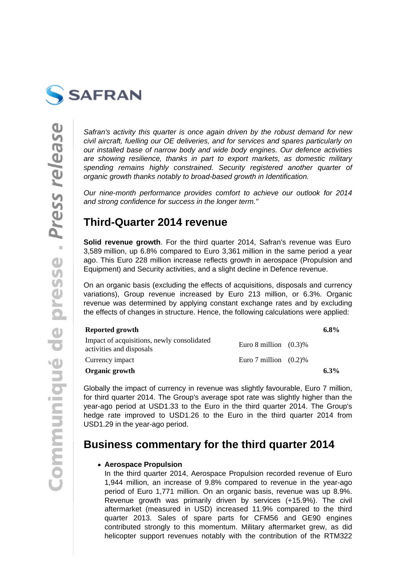

Safran's activity this quarter is once again driven by the robust demand for new civil aircraft, fuelling our OE deliveries, and for services and spares particularly on our installed base of narrow body and wide body engines. Our defence activities are showing resilience, thanks in part to export markets, as domestic military spending remains highly constrained. Security registered another quarter of organic growth thanks notably to broad-based growth in Identification.

Our nine-month performance provides comfort to achieve our outlook for 2014 and strong confidence for success in the longer term."

### **Third-Quarter 2014 revenue**

**Solid revenue growth**. For the third quarter 2014, Safran's revenue was Euro 3,589 million, up 6.8% compared to Euro 3,361 million in the same period a year ago. This Euro 228 million increase reflects growth in aerospace (Propulsion and Equipment) and Security activities, and a slight decline in Defence revenue.

On an organic basis (excluding the effects of acquisitions, disposals and currency variations), Group revenue increased by Euro 213 million, or 6.3%. Organic revenue was determined by applying constant exchange rates and by excluding the effects of changes in structure. Hence, the following calculations were applied:

| Reported growth                                                        |                          | $6.8\%$ |
|------------------------------------------------------------------------|--------------------------|---------|
| Impact of acquisitions, newly consolidated<br>activities and disposals | Euro 8 million $(0.3)\%$ |         |
| Currency impact                                                        | Euro 7 million $(0.2)$ % |         |
| Organic growth                                                         |                          | $6.3\%$ |

Globally the impact of currency in revenue was slightly favourable, Euro 7 million, for third quarter 2014. The Group's average spot rate was slightly higher than the year-ago period at USD1.33 to the Euro in the third quarter 2014. The Group's hedge rate improved to USD1.26 to the Euro in the third quarter 2014 from USD1.29 in the year-ago period.

### **Business commentary for the third quarter 2014**

### **Aerospace Propulsion**

In the third quarter 2014, Aerospace Propulsion recorded revenue of Euro 1,944 million, an increase of 9.8% compared to revenue in the year-ago period of Euro 1,771 million. On an organic basis, revenue was up 8.9%. Revenue growth was primarily driven by services (+15.9%). The civil aftermarket (measured in USD) increased 11.9% compared to the third quarter 2013. Sales of spare parts for CFM56 and GE90 engines contributed strongly to this momentum. Military aftermarket grew, as did helicopter support revenues notably with the contribution of the RTM322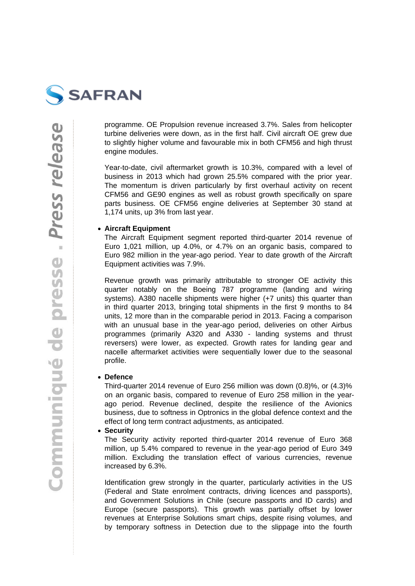

programme. OE Propulsion revenue increased 3.7%. Sales from helicopter turbine deliveries were down, as in the first half. Civil aircraft OE grew due to slightly higher volume and favourable mix in both CFM56 and high thrust engine modules.

Year-to-date, civil aftermarket growth is 10.3%, compared with a level of business in 2013 which had grown 25.5% compared with the prior year. The momentum is driven particularly by first overhaul activity on recent CFM56 and GE90 engines as well as robust growth specifically on spare parts business. OE CFM56 engine deliveries at September 30 stand at 1,174 units, up 3% from last year.

#### **Aircraft Equipment**

The Aircraft Equipment segment reported third-quarter 2014 revenue of Euro 1,021 million, up 4.0%, or 4.7% on an organic basis, compared to Euro 982 million in the year-ago period. Year to date growth of the Aircraft Equipment activities was 7.9%.

Revenue growth was primarily attributable to stronger OE activity this quarter notably on the Boeing 787 programme (landing and wiring systems). A380 nacelle shipments were higher (+7 units) this quarter than in third quarter 2013, bringing total shipments in the first 9 months to 84 units, 12 more than in the comparable period in 2013. Facing a comparison with an unusual base in the year-ago period, deliveries on other Airbus programmes (primarily A320 and A330 - landing systems and thrust reversers) were lower, as expected. Growth rates for landing gear and nacelle aftermarket activities were sequentially lower due to the seasonal profile.

#### **Defence**

Third-quarter 2014 revenue of Euro 256 million was down (0.8)%, or (4.3)% on an organic basis, compared to revenue of Euro 258 million in the yearago period. Revenue declined, despite the resilience of the Avionics business, due to softness in Optronics in the global defence context and the effect of long term contract adjustments, as anticipated.

#### **Security**  $\bullet$

The Security activity reported third-quarter 2014 revenue of Euro 368 million, up 5.4% compared to revenue in the year-ago period of Euro 349 million. Excluding the translation effect of various currencies, revenue increased by 6.3%.

Identification grew strongly in the quarter, particularly activities in the US (Federal and State enrolment contracts, driving licences and passports), and Government Solutions in Chile (secure passports and ID cards) and Europe (secure passports). This growth was partially offset by lower revenues at Enterprise Solutions smart chips, despite rising volumes, and by temporary softness in Detection due to the slippage into the fourth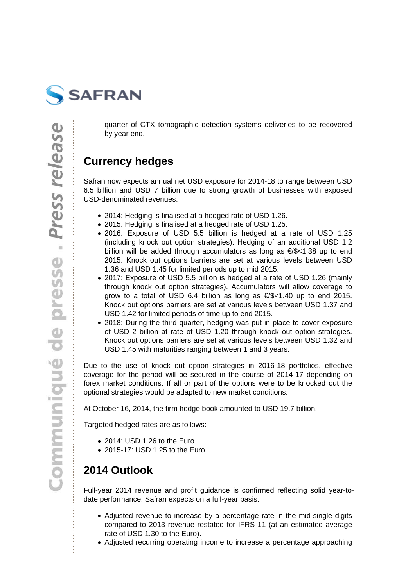

quarter of CTX tomographic detection systems deliveries to be recovered by year end.

### **Currency hedges**

Safran now expects annual net USD exposure for 2014-18 to range between USD 6.5 billion and USD 7 billion due to strong growth of businesses with exposed USD-denominated revenues.

- 2014: Hedging is finalised at a hedged rate of USD 1.26.
- 2015: Hedging is finalised at a hedged rate of USD 1.25.
- 2016: Exposure of USD 5.5 billion is hedged at a rate of USD 1.25 (including knock out option strategies). Hedging of an additional USD 1.2 billion will be added through accumulators as long as €/\$<1.38 up to end 2015. Knock out options barriers are set at various levels between USD 1.36 and USD 1.45 for limited periods up to mid 2015.
- 2017: Exposure of USD 5.5 billion is hedged at a rate of USD 1.26 (mainly through knock out option strategies). Accumulators will allow coverage to grow to a total of USD 6.4 billion as long as  $\epsilon$ /\$<1.40 up to end 2015. Knock out options barriers are set at various levels between USD 1.37 and USD 1.42 for limited periods of time up to end 2015.
- 2018: During the third quarter, hedging was put in place to cover exposure of USD 2 billion at rate of USD 1.20 through knock out option strategies. Knock out options barriers are set at various levels between USD 1.32 and USD 1.45 with maturities ranging between 1 and 3 years.

Due to the use of knock out option strategies in 2016-18 portfolios, effective coverage for the period will be secured in the course of 2014-17 depending on forex market conditions. If all or part of the options were to be knocked out the optional strategies would be adapted to new market conditions.

At October 16, 2014, the firm hedge book amounted to USD 19.7 billion.

Targeted hedged rates are as follows:

- 2014: USD 1.26 to the Euro
- 2015-17: USD 1.25 to the Euro.

# **2014 Outlook**

Full-year 2014 revenue and profit guidance is confirmed reflecting solid year-todate performance. Safran expects on a full-year basis:

- Adjusted revenue to increase by a percentage rate in the mid-single digits compared to 2013 revenue restated for IFRS 11 (at an estimated average rate of USD 1.30 to the Euro).
- Adjusted recurring operating income to increase a percentage approaching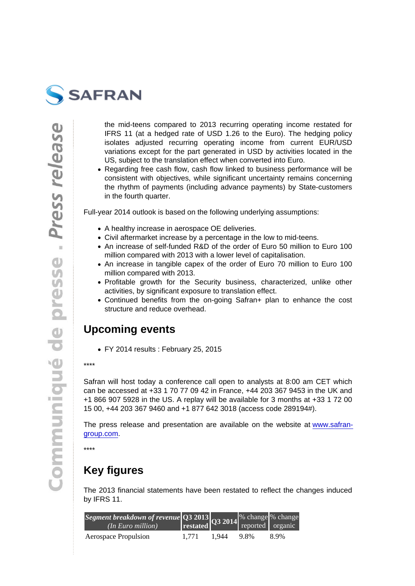the mid-teens compared to 2013 recurring operating income restated for IFRS 11 (at a hedged rate of USD 1.26 to the Euro). The hedging policy isolates adjusted recurring operating income from current EUR/USD variations except for the part generated in USD by activities located in the US, subject to the translation effect when converted into Euro.

• Regarding free cash flow, cash flow linked to business performance will be consistent with objectives, while significant uncertainty remains concerning the rhythm of payments (including advance payments) by State-customers in the fourth quarter.

Full-year 2014 outlook is based on the following underlying assumptions:

- A healthy increase in aerospace OE deliveries.
- Civil aftermarket increase by a percentage in the low to mid-teens.
- An increase of self-funded R&D of the order of Euro 50 million to Euro 100 million compared with 2013 with a lower level of capitalisation.
- An increase in tangible capex of the order of Euro 70 million to Euro 100 million compared with 2013.
- Profitable growth for the Security business, characterized, unlike other activities, by significant exposure to translation effect.
- Continued benefits from the on-going Safran+ plan to enhance the cost structure and reduce overhead.

### Upcoming events

FY 2014 results : February 25, 2015

\*\*\*\*

Safran will host today a conference call open to analysts at 8:00 am CET which can be accessed at +33 1 70 77 09 42 in France, +44 203 367 9453 in the UK and +1 866 907 5928 in the US. A replay will be available for 3 months at +33 1 72 00 15 00, +44 203 367 9460 and +1 877 642 3018 (access code 289194#).

The press release and presentation are available on the website at www.safrangroup.com.

\*\*\*\*

### [Key figu](https://www.safran-group.com/)res

The 2013 financial statements have been restated to reflect the changes induced by IFRS 11.

| Segment breakdown of reven Q3 2013 Q3 2014 % chang % chang<br>(In Euro million) restated Q3 2014 reported organic |       |       |      |      |
|-------------------------------------------------------------------------------------------------------------------|-------|-------|------|------|
| Aerospace Propulsion                                                                                              | 1.771 | 1.944 | 9.8% | 8.9% |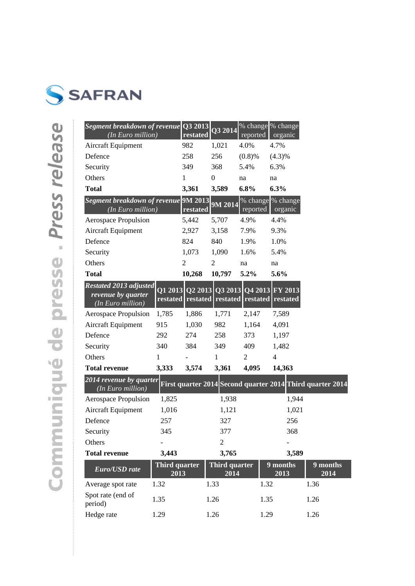

| Segment breakdown of revenue<br>(In Euro million)                        |                              | Q3 2013<br>restated | Q3 2014                                                                      | reported       | % change \% change<br>organic |                                                           |
|--------------------------------------------------------------------------|------------------------------|---------------------|------------------------------------------------------------------------------|----------------|-------------------------------|-----------------------------------------------------------|
| Aircraft Equipment                                                       |                              | 982                 | 1,021                                                                        | 4.0%           | 4.7%                          |                                                           |
| Defence                                                                  |                              | 258                 | 256                                                                          | (0.8)%         | $(4.3)\%$                     |                                                           |
| Security                                                                 |                              | 349                 | 368                                                                          | 5.4%           | 6.3%                          |                                                           |
| Others                                                                   |                              | 1                   | $\theta$                                                                     | na             | na                            |                                                           |
| <b>Total</b>                                                             |                              | 3,361               | 3,589                                                                        | 6.8%           | 6.3%                          |                                                           |
| <b>Segment breakdown of revenue 9M 2013</b><br>(In Euro million)         |                              | restated            | $9\overline{\mathrm{M}}$ 2014                                                | reported       | % change % change<br>organic  |                                                           |
| Aerospace Propulsion                                                     |                              | 5,442               | 5,707                                                                        | 4.9%           | 4.4%                          |                                                           |
| Aircraft Equipment                                                       |                              | 2,927               | 3,158                                                                        | 7.9%           | 9.3%                          |                                                           |
| Defence                                                                  |                              | 824                 | 840                                                                          | 1.9%           | 1.0%                          |                                                           |
| Security                                                                 |                              | 1,073               | 1,090                                                                        | 1.6%           | 5.4%                          |                                                           |
| Others                                                                   |                              | 2                   | 2                                                                            | na             | na                            |                                                           |
| <b>Total</b>                                                             |                              | 10,268              | 10,797                                                                       | 5.2%           | 5.6%                          |                                                           |
| <b>Restated 2013 adjusted</b><br>revenue by quarter<br>(In Euro million) |                              |                     | Q1 2013   Q2 2013   Q3 2013   Q4 2013<br>restated restated restated restated |                | <b>FY 2013</b><br>restated    |                                                           |
| Aerospace Propulsion                                                     | 1,785                        | 1,886               | 1,771                                                                        | 2,147          | 7,589                         |                                                           |
| Aircraft Equipment                                                       | 915                          | 1,030               | 982                                                                          | 1,164          | 4,091                         |                                                           |
| Defence                                                                  | 292                          | 274                 | 258                                                                          | 373            | 1,197                         |                                                           |
| Security                                                                 | 340                          | 384                 | 349                                                                          | 409            | 1,482                         |                                                           |
| Others                                                                   | 1                            |                     | 1                                                                            | $\overline{2}$ | $\overline{4}$                |                                                           |
| <b>Total revenue</b>                                                     | 3,333                        | 3,574               | 3,361                                                                        | 4,095          | 14,363                        |                                                           |
| 2014 revenue by quarter<br>(In Euro million)                             |                              |                     |                                                                              |                |                               | First quarter 2014 Second quarter 2014 Third quarter 2014 |
| Aerospace Propulsion                                                     | 1,825                        |                     | 1,938                                                                        |                | 1,944                         |                                                           |
| Aircraft Equipment                                                       | 1,016                        |                     | 1,121                                                                        |                | 1,021                         |                                                           |
| Defence                                                                  | 257                          |                     | 327                                                                          |                | 256                           |                                                           |
| Security                                                                 | 345                          |                     | 377                                                                          |                | 368                           |                                                           |
| Others                                                                   |                              |                     | $\overline{c}$                                                               |                |                               |                                                           |
| <b>Total revenue</b>                                                     | 3,443                        |                     | 3,765                                                                        |                | 3,589                         |                                                           |
| Euro/USD rate                                                            | <b>Third quarter</b><br>2013 |                     | Third quarter<br>2014                                                        |                | 9 months<br>2013              | 9 months<br>2014                                          |
| Average spot rate                                                        | 1.32                         |                     | 1.33                                                                         |                | 1.32                          | 1.36                                                      |
| Spot rate (end of<br>period)                                             | 1.35                         |                     | 1.26                                                                         |                | 1.35                          | 1.26                                                      |
| Hedge rate                                                               | 1.29                         |                     | 1.26                                                                         |                | 1.29                          | 1.26                                                      |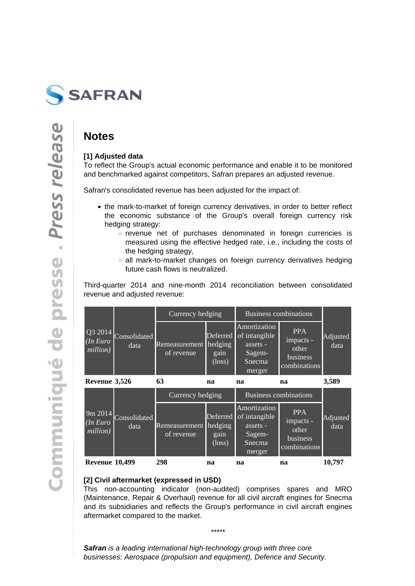

### **Notes**

### **[1] Adjusted data**

To reflect the Group's actual economic performance and enable it to be monitored and benchmarked against competitors, Safran prepares an adjusted revenue.

Safran's consolidated revenue has been adjusted for the impact of:

- the mark-to-market of foreign currency derivatives, in order to better reflect the economic substance of the Group's overall foreign currency risk hedging strategy:
	- revenue net of purchases denominated in foreign currencies is measured using the effective hedged rate, i.e., including the costs of the hedging strategy,
	- all mark-to-market changes on foreign currency derivatives hedging future cash flows is neutralized.

Third-quarter 2014 and nine-month 2014 reconciliation between consolidated revenue and adjusted revenue:

|                                         |              | Currency hedging            |                                                | <b>Business combinations</b>                                            |                                                              |                         |
|-----------------------------------------|--------------|-----------------------------|------------------------------------------------|-------------------------------------------------------------------------|--------------------------------------------------------------|-------------------------|
| Q3 2014<br>(In Euro<br>data<br>million) | Consolidated | Remeasurement<br>of revenue | Deferred<br>hedging<br>gain<br>$(\text{loss})$ | Amortization<br>of intangible<br>assets -<br>Sagem-<br>Snecma<br>merger | <b>PPA</b><br>impacts -<br>other<br>business<br>combinations | <b>Adjusted</b><br>data |
| Revenue 3,526                           |              | 63                          | na                                             | na                                                                      | na                                                           | 3,589                   |
|                                         |              | Currency hedging            |                                                | <b>Business combinations</b>                                            |                                                              |                         |
| $\sim$ $\sim$ $\sim$ $\sim$             |              |                             |                                                | Amortization                                                            | $\overline{D}$ $\overline{D}$ $\overline{A}$                 |                         |

| <b>Revenue 10,499</b> |                              | 298                                 | na                      | na                                                                                                            | na                                                           | 10,797           |
|-----------------------|------------------------------|-------------------------------------|-------------------------|---------------------------------------------------------------------------------------------------------------|--------------------------------------------------------------|------------------|
| (In Euro<br>million)  | 9m 2014 Consolidated<br>data | Remeasurement hedging<br>of revenue | gain<br>$(\text{loss})$ | Amortization <br>$\Delta$ Deferred $\sigma$ intangible<br>assets -<br>Sagem-<br>Snecma <sub>r</sub><br>merger | <b>PPA</b><br>impacts -<br>other<br>business<br>combinations | Adjusted<br>data |

#### **[2] Civil aftermarket (expressed in USD)**

This non-accounting indicator (non-audited) comprises spares and MRO (Maintenance, Repair & Overhaul) revenue for all civil aircraft engines for Snecma and its subsidiaries and reflects the Group's performance in civil aircraft engines aftermarket compared to the market.

\*\*\*\*\*

**Safran** is a leading international high-technology group with three core businesses: Aerospace (propulsion and equipment), Defence and Security.